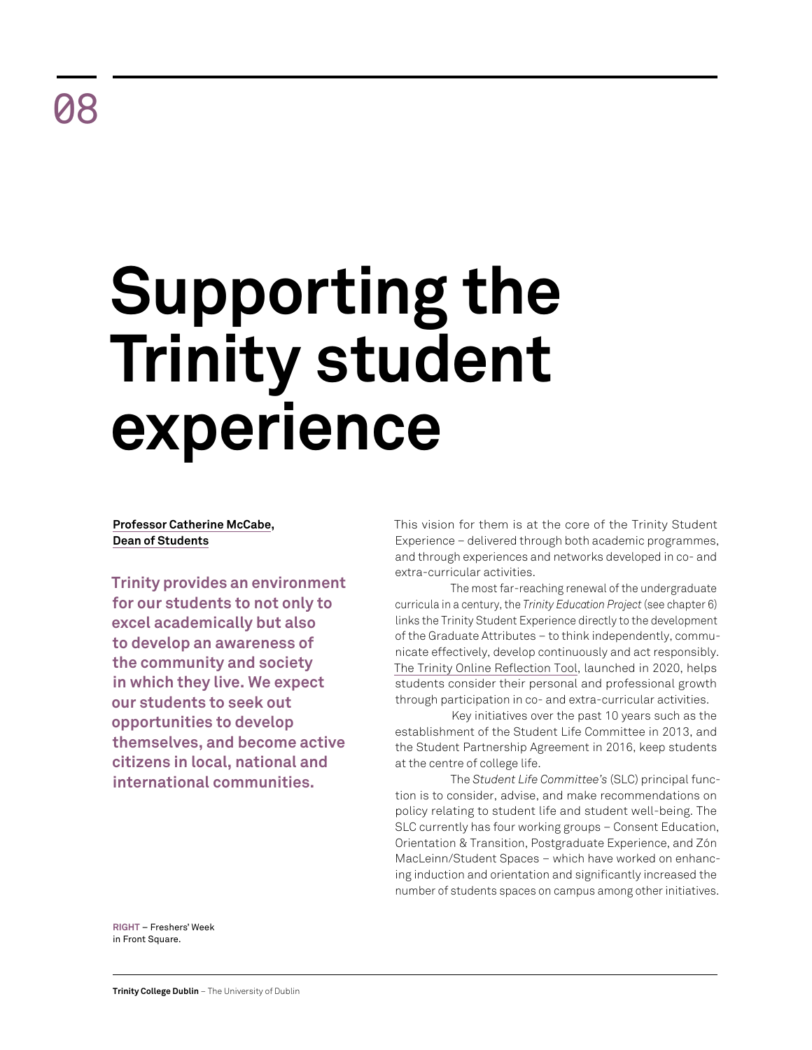# **Supporting the Trinity student experience**

# **Professor Catherine McCabe, Dean of Students**

**Trinity provides an environment for our students to not only to excel academically but also to develop an awareness of the community and society in which they live. We expect our students to seek out opportunities to develop themselves, and become active citizens in local, national and international communities.** 

This vision for them is at the core of the Trinity Student Experience – delivered through both academic programmes, and through experiences and networks developed in co- and extra-curricular activities.

The most far-reaching renewal of the undergraduate curricula in a century, the *Trinity Education Project* (see chapter 6) links the Trinity Student Experience directly to the development of the Graduate Attributes – to think independently, communicate effectively, develop continuously and act responsibly. [The Trinity Online Reflection Tool,](https://www.tcd.ie/students/reflection/) launched in 2020, helps students consider their personal and professional growth through participation in co- and extra-curricular activities.

Key initiatives over the past 10 years such as the establishment of the Student Life Committee in 2013, and the Student Partnership Agreement in 2016, keep students at the centre of college life.

The *Student Life Committee's* (SLC) principal function is to consider, advise, and make recommendations on policy relating to student life and student well-being. The SLC currently has four working groups – Consent Education, Orientation & Transition, Postgraduate Experience, and Zón MacLeinn/Student Spaces – which have worked on enhancing induction and orientation and significantly increased the number of students spaces on campus among other initiatives.

**RIGHT** – Freshers' Week in Front Square.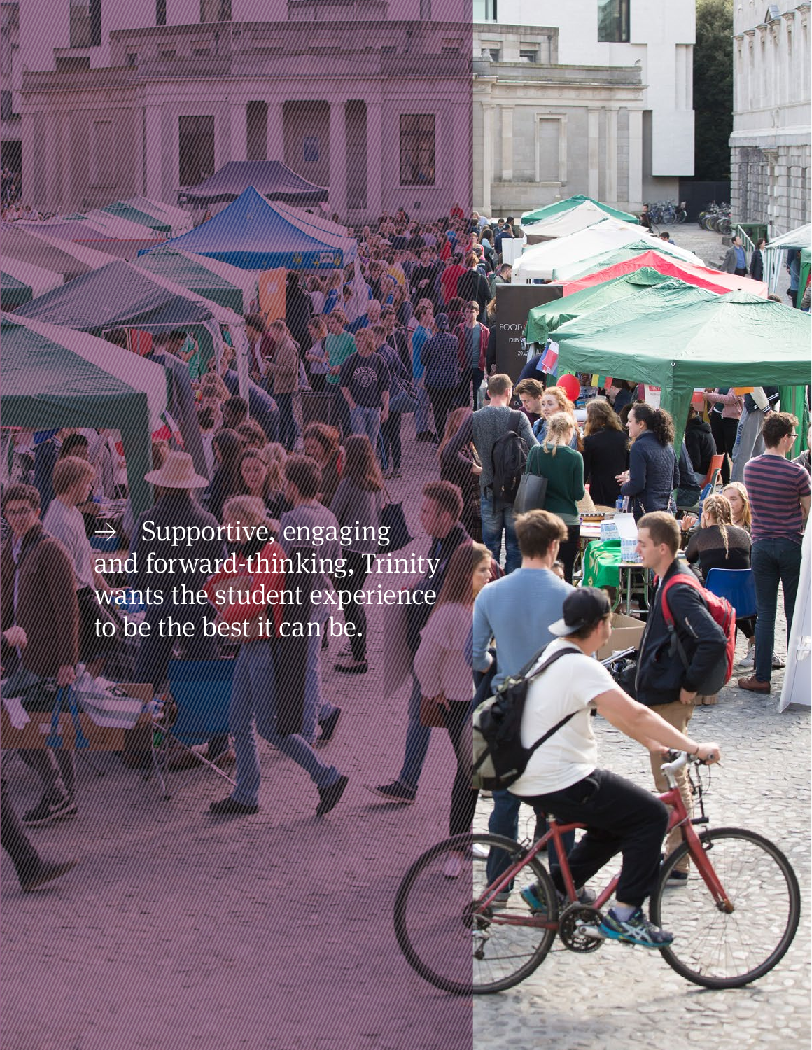$\Rightarrow$  Supportive, engaging and forward-thinking, Trinity wants the student experience to be the best it can be.

**Retrospective Review** 2011–21 68 | 69

EW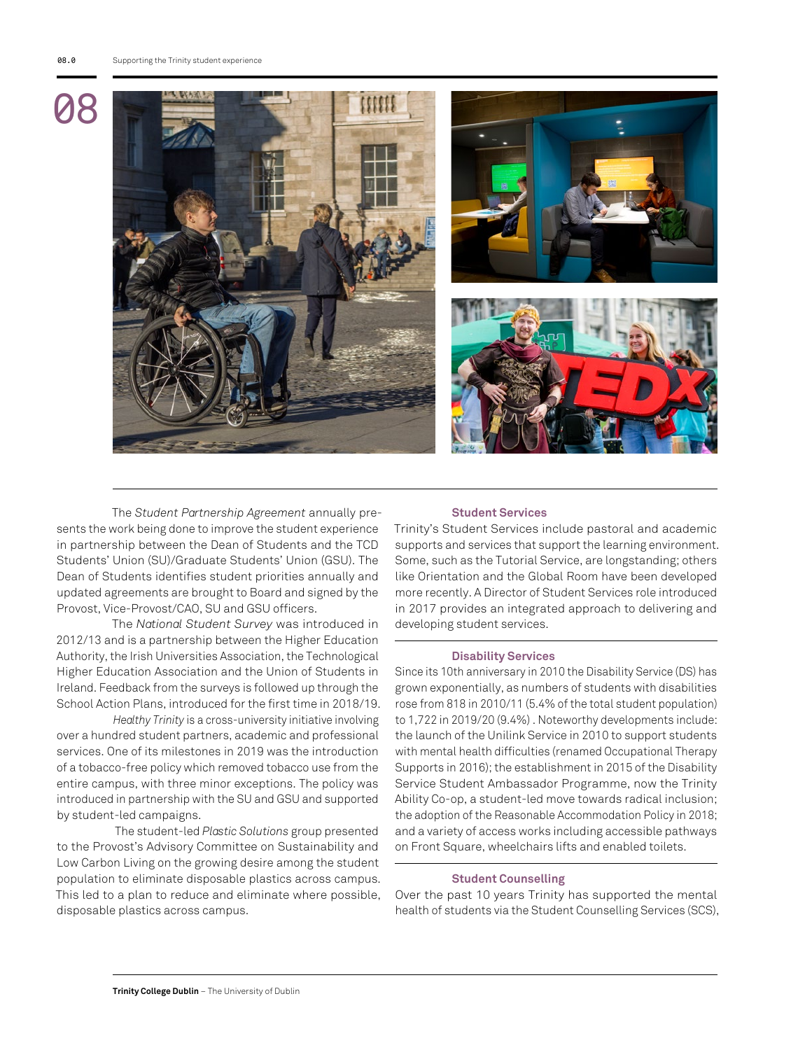

The *Student Partnership Agreement* annually presents the work being done to improve the student experience in partnership between the Dean of Students and the TCD Students' Union (SU)/Graduate Students' Union (GSU). The Dean of Students identifies student priorities annually and updated agreements are brought to Board and signed by the Provost, Vice-Provost/CAO, SU and GSU officers.

The *National Student Survey* was introduced in 2012/13 and is a partnership between the Higher Education Authority, the Irish Universities Association, the Technological Higher Education Association and the Union of Students in Ireland. Feedback from the surveys is followed up through the School Action Plans, introduced for the first time in 2018/19.

*Healthy Trinity* is a cross-university initiative involving over a hundred student partners, academic and professional services. One of its milestones in 2019 was the introduction of a tobacco-free policy which removed tobacco use from the entire campus, with three minor exceptions. The policy was introduced in partnership with the SU and GSU and supported by student-led campaigns.

 The student-led *Plastic Solutions* group presented to the Provost's Advisory Committee on Sustainability and Low Carbon Living on the growing desire among the student population to eliminate disposable plastics across campus. This led to a plan to reduce and eliminate where possible, disposable plastics across campus.

#### **Student Services**

Trinity's Student Services include pastoral and academic supports and services that support the learning environment. Some, such as the Tutorial Service, are longstanding; others like Orientation and the Global Room have been developed more recently. A Director of Student Services role introduced in 2017 provides an integrated approach to delivering and developing student services.

#### **Disability Services**

Since its 10th anniversary in 2010 the Disability Service (DS) has grown exponentially, as numbers of students with disabilities rose from 818 in 2010/11 (5.4% of the total student population) to 1,722 in 2019/20 (9.4%) . Noteworthy developments include: the launch of the Unilink Service in 2010 to support students with mental health difficulties (renamed Occupational Therapy Supports in 2016); the establishment in 2015 of the Disability Service Student Ambassador Programme, now the Trinity Ability Co-op, a student-led move towards radical inclusion; the adoption of the Reasonable Accommodation Policy in 2018; and a variety of access works including accessible pathways on Front Square, wheelchairs lifts and enabled toilets.

### **Student Counselling**

Over the past 10 years Trinity has supported the mental health of students via the Student Counselling Services (SCS),